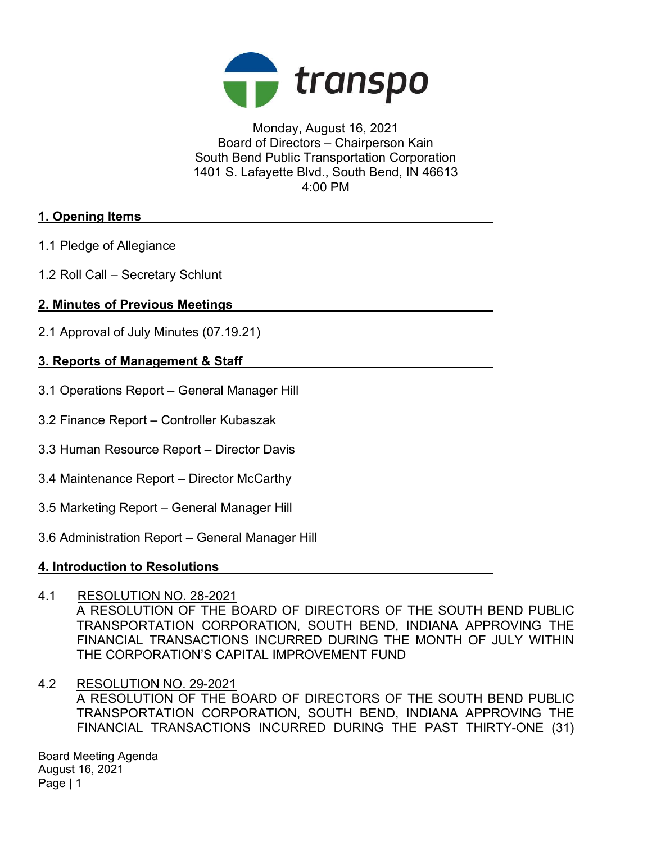

Monday, August 16, 2021 Board of Directors – Chairperson Kain South Bend Public Transportation Corporation 1401 S. Lafayette Blvd., South Bend, IN 46613 4:00 PM

# 1. Opening Items

- 1.1 Pledge of Allegiance
- 1.2 Roll Call Secretary Schlunt

# 2. Minutes of Previous Meetings

2.1 Approval of July Minutes (07.19.21)

# 3. Reports of Management & Staff

- 3.1 Operations Report General Manager Hill
- 3.2 Finance Report Controller Kubaszak
- 3.3 Human Resource Report Director Davis
- 3.4 Maintenance Report Director McCarthy
- 3.5 Marketing Report General Manager Hill
- 3.6 Administration Report General Manager Hill

### 4. Introduction to Resolutions

4.1 RESOLUTION NO. 28-2021

A RESOLUTION OF THE BOARD OF DIRECTORS OF THE SOUTH BEND PUBLIC TRANSPORTATION CORPORATION, SOUTH BEND, INDIANA APPROVING THE FINANCIAL TRANSACTIONS INCURRED DURING THE MONTH OF JULY WITHIN THE CORPORATION'S CAPITAL IMPROVEMENT FUND

4.2 RESOLUTION NO. 29-2021

A RESOLUTION OF THE BOARD OF DIRECTORS OF THE SOUTH BEND PUBLIC TRANSPORTATION CORPORATION, SOUTH BEND, INDIANA APPROVING THE FINANCIAL TRANSACTIONS INCURRED DURING THE PAST THIRTY-ONE (31)

Board Meeting Agenda August 16, 2021 Page | 1